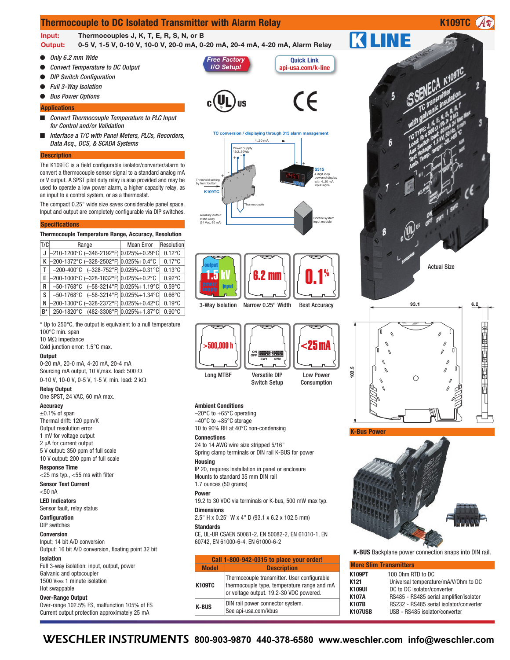# **Thermocouple to DC Isolated Transmitter with Alarm Relay <b>K109TC K109TC**

**Input: Thermocouples J, K, T, E, R, S, N, or B**

**Output: 0-5 V, 1-5 V, 0-10 V, 10-0 V, 20-0 mA, 0-20 mA, 20-4 mA, 4-20 mA, Alarm Relay**

- O *Only 6.2 mm Wide*
- O *Convert Temperature to DC Output*
- O *DIP Switch Configuration*
- O *Full 3-Way Isolation*
- O *Bus Power Options*

#### **Applications**

- *Convert Thermocouple Temperature to PLC Input for Control and/or Validation*
- *Interface a T/C with Panel Meters, PLCs, Recorders, Data Acq., DCS, & SCADA Systems*

#### **Description**

The K109TC is a field configurable isolator/converter/alarm to convert a thermocouple sensor signal to a standard analog mA or V output. A SPST pilot duty relay is also provided and may be used to operate a low power alarm, a higher capacity relay, as an input to a control system, or as a thermostat.

The compact 0.25" wide size saves considerable panel space. Input and output are completely configurable via DIP switches.

#### **Specifications**

# **Thermocouple Temperature Range, Accuracy, Resolution**

| T/C   | Range                                                                | <b>Mean Error</b> | Resolution       |
|-------|----------------------------------------------------------------------|-------------------|------------------|
|       | J $-210-1200^{\circ}$ C $(-346-2192^{\circ}F)$ 0.025%+0.29°C         |                   | $0.12^{\circ}$ C |
|       | K -200-1372°C (-328-2502°F) 0.025%+0.4°C                             |                   | $0.17^{\circ}$ C |
| ΤI    | $-200-400\degree$ C $(-328-752\degree F)$ 0.025%+0.31 °C             |                   | $0.13^{\circ}$ C |
|       | E $-200-1000\degree$ C $(-328-1832\degree F)$ 0.025%+0.2 $\degree$ C |                   | $0.92^{\circ}$ C |
| R.    | $-50-1768$ °C $(-58-3214$ °F) 0.025%+1.19°C                          |                   | $0.59$ °C        |
| s     | $-50-1768$ °C $(-58-3214$ °F) 0.025% + 1.34°C                        |                   | $0.66^{\circ}$ C |
|       | N -200-1300°C (-328-2372°F) 0.025%+0.42°C                            |                   | $0.19^{\circ}$ C |
| $R^*$ | 250-1820°C (482-3308°F) 0.025%+1.87°C                                |                   | $0.90^{\circ}$ C |

\* Up to 250°C, the output is equivalent to a null temperature 100°C min. span

10 MΩ impedance Cold junction error: 1.5°C max.

### **Output**

0-20 mA, 20-0 mA, 4-20 mA, 20-4 mA Sourcing mA output, 10 V,max. load: 500 Ω

0-10 V, 10-0 V, 0-5 V, 1-5 V, min. load: 2 kΩ **Relay Output**

One SPST, 24 VAC, 60 mA max.

## **Accuracy**

 $\pm 0.1\%$  of span Thermal drift: 120 ppm/K Output resolution error 1 mV for voltage output 2 µA for current output 5 V output: 350 ppm of full scale 10 V output: 200 ppm of full scale

### **Response Time**

 $<$ 25 ms typ.,  $<$ 55 ms with filter **Sensor Test Current**

 $< 50$  nA

**LED Indicators** Sensor fault, relay status

#### **Configuration** DIP switches

**Conversion**

Input: 14 bit A/D conversion

Output: 16 bit A/D conversion, floating point 32 bit **Isolation**

Full 3-way isolation: input, output, power Galvanic and optocoupler 1500 VRMS 1 minute isolation Hot swappable

### **Over-Range Output**

Over-range 102.5% FS, malfunction 105% of FS Current output protection approximately 25 mA







**Quick Link api-usa.com/k-line**

(E





**Ambient Conditions**

 $-20^{\circ}$ C to  $+65^{\circ}$ C operating –40°C to +85°C storage 10 to 90% RH at 40°C non-condensing

#### **Connections**

24 to 14 AWG wire size stripped 5/16" Spring clamp terminals or DIN rail K-BUS for power

#### **Housing**

IP 20, requires installation in panel or enclosure Mounts to standard 35 mm DIN rail 1.7 ounces (50 grams)

#### **Power**

19.2 to 30 VDC via terminals or K-bus, 500 mW max typ.

# **Dimensions**

2.5" H x 0.25" W x 4" D (93.1 x 6.2 x 102.5 mm)

# **Standards**

CE, UL-UR CSAEN 50081-2, EN 50082-2, EN 61010-1, EN 60742, EN 61000-6-4, EN 61000-6-2

| Call 1-800-942-0315 to place your order! |                                                                                                                                       |  |  |  |  |
|------------------------------------------|---------------------------------------------------------------------------------------------------------------------------------------|--|--|--|--|
| <b>Model</b>                             | <b>Description</b>                                                                                                                    |  |  |  |  |
| K109TC                                   | Thermocouple transmitter. User configurable<br>thermocouple type, temperature range and mA<br>or voltage output. 19.2-30 VDC powered. |  |  |  |  |
| <b>K-BUS</b>                             | DIN rail power connector system.<br>See api-usa.com/kbus                                                                              |  |  |  |  |

# **K LINE**









**K-BUS** Backplane power connection snaps into DIN rail.

|                  | <b>More Slim Transmitters</b>           |
|------------------|-----------------------------------------|
| K109PT           | 100 Ohm RTD to DC                       |
| K <sub>121</sub> | Universal temperature/mA/V/0hm to DC    |
| K109UI           | DC to DC isolator/converter             |
| <b>K107A</b>     | RS485 - RS485 serial amplifier/isolator |
| <b>K107B</b>     | RS232 - RS485 serial isolator/converter |
| <b>K107USB</b>   | USB - RS485 isolator/converter          |